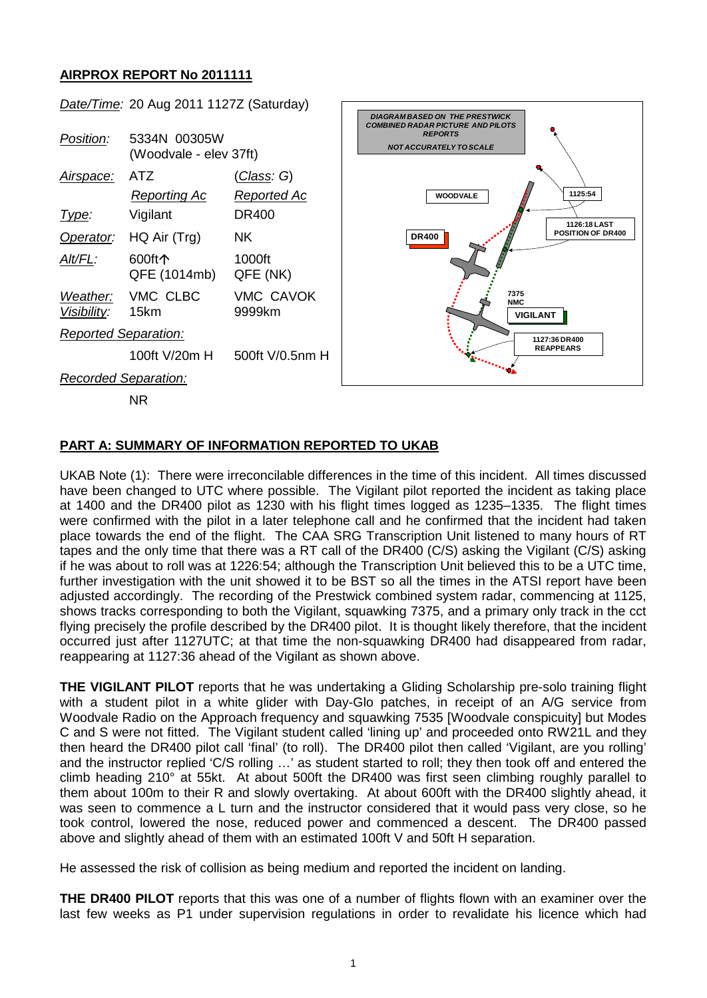## **AIRPROX REPORT No 2011111**



## **PART A: SUMMARY OF INFORMATION REPORTED TO UKAB**

UKAB Note (1): There were irreconcilable differences in the time of this incident. All times discussed have been changed to UTC where possible. The Vigilant pilot reported the incident as taking place at 1400 and the DR400 pilot as 1230 with his flight times logged as 1235–1335. The flight times were confirmed with the pilot in a later telephone call and he confirmed that the incident had taken place towards the end of the flight. The CAA SRG Transcription Unit listened to many hours of RT tapes and the only time that there was a RT call of the DR400 (C/S) asking the Vigilant (C/S) asking if he was about to roll was at 1226:54; although the Transcription Unit believed this to be a UTC time, further investigation with the unit showed it to be BST so all the times in the ATSI report have been adjusted accordingly. The recording of the Prestwick combined system radar, commencing at 1125, shows tracks corresponding to both the Vigilant, squawking 7375, and a primary only track in the cct flying precisely the profile described by the DR400 pilot. It is thought likely therefore, that the incident occurred just after 1127UTC; at that time the non-squawking DR400 had disappeared from radar, reappearing at 1127:36 ahead of the Vigilant as shown above.

**THE VIGILANT PILOT** reports that he was undertaking a Gliding Scholarship pre-solo training flight with a student pilot in a white glider with Day-Glo patches, in receipt of an A/G service from Woodvale Radio on the Approach frequency and squawking 7535 [Woodvale conspicuity] but Modes C and S were not fitted. The Vigilant student called 'lining up' and proceeded onto RW21L and they then heard the DR400 pilot call 'final' (to roll). The DR400 pilot then called 'Vigilant, are you rolling' and the instructor replied 'C/S rolling …' as student started to roll; they then took off and entered the climb heading 210° at 55kt. At about 500ft the DR400 was first seen climbing roughly parallel to them about 100m to their R and slowly overtaking. At about 600ft with the DR400 slightly ahead, it was seen to commence a L turn and the instructor considered that it would pass very close, so he took control, lowered the nose, reduced power and commenced a descent. The DR400 passed above and slightly ahead of them with an estimated 100ft V and 50ft H separation.

He assessed the risk of collision as being medium and reported the incident on landing.

**THE DR400 PILOT** reports that this was one of a number of flights flown with an examiner over the last few weeks as P1 under supervision regulations in order to revalidate his licence which had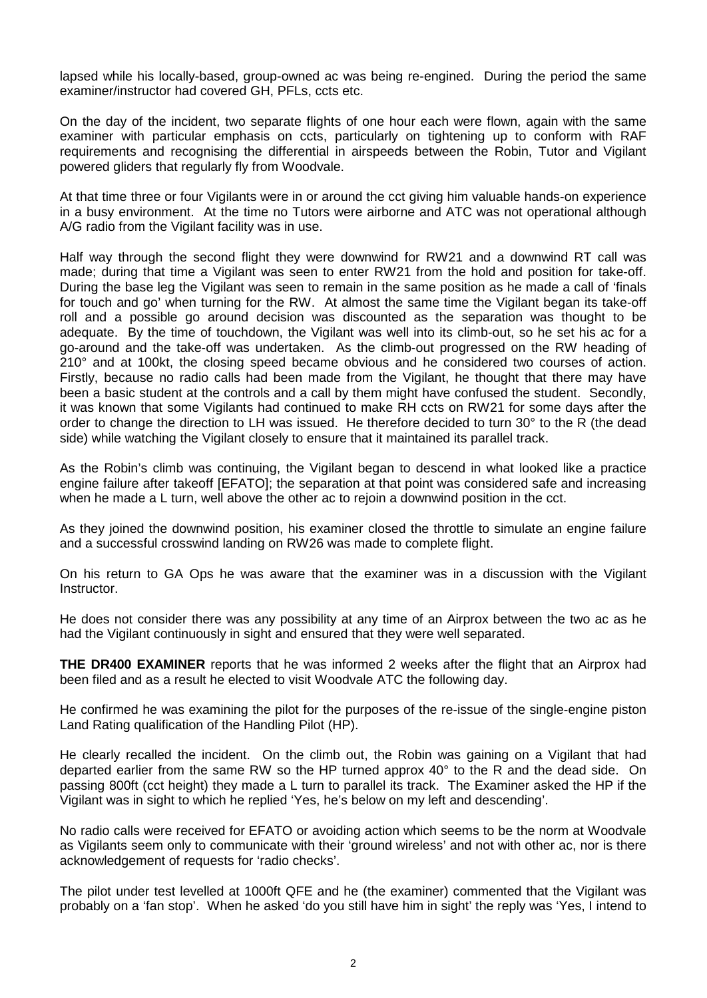lapsed while his locally-based, group-owned ac was being re-engined. During the period the same examiner/instructor had covered GH, PFLs, ccts etc.

On the day of the incident, two separate flights of one hour each were flown, again with the same examiner with particular emphasis on ccts, particularly on tightening up to conform with RAF requirements and recognising the differential in airspeeds between the Robin, Tutor and Vigilant powered gliders that regularly fly from Woodvale.

At that time three or four Vigilants were in or around the cct giving him valuable hands-on experience in a busy environment. At the time no Tutors were airborne and ATC was not operational although A/G radio from the Vigilant facility was in use.

Half way through the second flight they were downwind for RW21 and a downwind RT call was made; during that time a Vigilant was seen to enter RW21 from the hold and position for take-off. During the base leg the Vigilant was seen to remain in the same position as he made a call of 'finals for touch and go' when turning for the RW. At almost the same time the Vigilant began its take-off roll and a possible go around decision was discounted as the separation was thought to be adequate. By the time of touchdown, the Vigilant was well into its climb-out, so he set his ac for a go-around and the take-off was undertaken. As the climb-out progressed on the RW heading of 210° and at 100kt, the closing speed became obvious and he considered two courses of action. Firstly, because no radio calls had been made from the Vigilant, he thought that there may have been a basic student at the controls and a call by them might have confused the student. Secondly, it was known that some Vigilants had continued to make RH ccts on RW21 for some days after the order to change the direction to LH was issued. He therefore decided to turn 30° to the R (the dead side) while watching the Vigilant closely to ensure that it maintained its parallel track.

As the Robin's climb was continuing, the Vigilant began to descend in what looked like a practice engine failure after takeoff [EFATO]; the separation at that point was considered safe and increasing when he made a L turn, well above the other ac to rejoin a downwind position in the cct.

As they joined the downwind position, his examiner closed the throttle to simulate an engine failure and a successful crosswind landing on RW26 was made to complete flight.

On his return to GA Ops he was aware that the examiner was in a discussion with the Vigilant Instructor.

He does not consider there was any possibility at any time of an Airprox between the two ac as he had the Vigilant continuously in sight and ensured that they were well separated.

**THE DR400 EXAMINER** reports that he was informed 2 weeks after the flight that an Airprox had been filed and as a result he elected to visit Woodvale ATC the following day.

He confirmed he was examining the pilot for the purposes of the re-issue of the single-engine piston Land Rating qualification of the Handling Pilot (HP).

He clearly recalled the incident. On the climb out, the Robin was gaining on a Vigilant that had departed earlier from the same RW so the HP turned approx 40° to the R and the dead side. On passing 800ft (cct height) they made a L turn to parallel its track. The Examiner asked the HP if the Vigilant was in sight to which he replied 'Yes, he's below on my left and descending'.

No radio calls were received for EFATO or avoiding action which seems to be the norm at Woodvale as Vigilants seem only to communicate with their 'ground wireless' and not with other ac, nor is there acknowledgement of requests for 'radio checks'.

The pilot under test levelled at 1000ft QFE and he (the examiner) commented that the Vigilant was probably on a 'fan stop'. When he asked 'do you still have him in sight' the reply was 'Yes, I intend to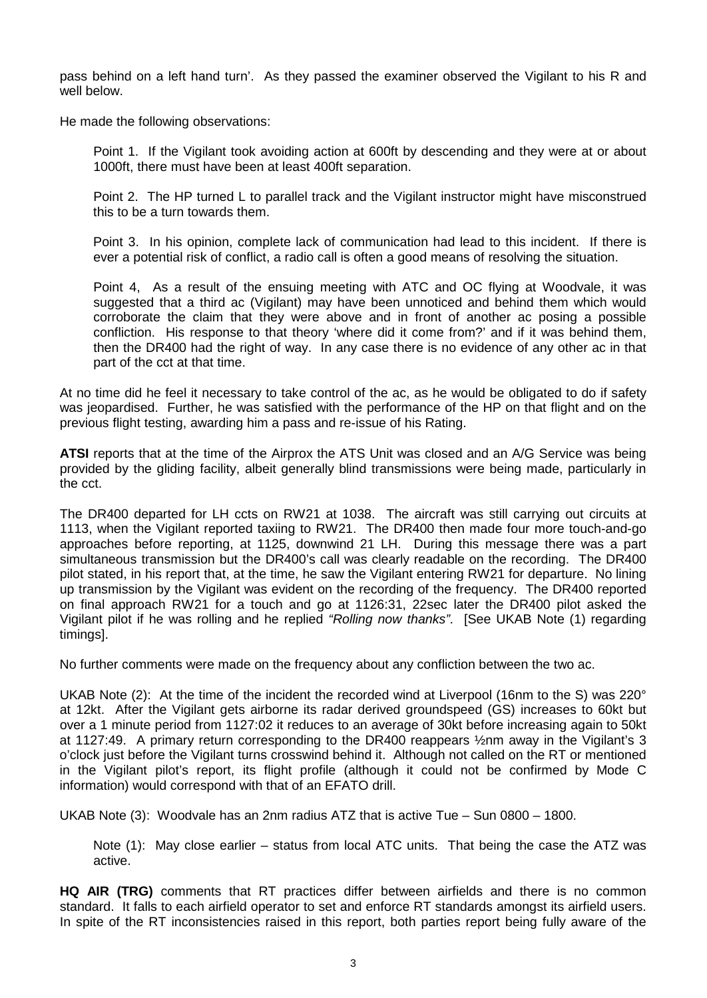pass behind on a left hand turn'. As they passed the examiner observed the Vigilant to his R and well below.

He made the following observations:

Point 1. If the Vigilant took avoiding action at 600ft by descending and they were at or about 1000ft, there must have been at least 400ft separation.

Point 2. The HP turned L to parallel track and the Vigilant instructor might have misconstrued this to be a turn towards them.

Point 3. In his opinion, complete lack of communication had lead to this incident. If there is ever a potential risk of conflict, a radio call is often a good means of resolving the situation.

Point 4, As a result of the ensuing meeting with ATC and OC flying at Woodvale, it was suggested that a third ac (Vigilant) may have been unnoticed and behind them which would corroborate the claim that they were above and in front of another ac posing a possible confliction. His response to that theory 'where did it come from?' and if it was behind them, then the DR400 had the right of way. In any case there is no evidence of any other ac in that part of the cct at that time.

At no time did he feel it necessary to take control of the ac, as he would be obligated to do if safety was jeopardised. Further, he was satisfied with the performance of the HP on that flight and on the previous flight testing, awarding him a pass and re-issue of his Rating.

**ATSI** reports that at the time of the Airprox the ATS Unit was closed and an A/G Service was being provided by the gliding facility, albeit generally blind transmissions were being made, particularly in the cct.

The DR400 departed for LH ccts on RW21 at 1038. The aircraft was still carrying out circuits at 1113, when the Vigilant reported taxiing to RW21. The DR400 then made four more touch-and-go approaches before reporting, at 1125, downwind 21 LH. During this message there was a part simultaneous transmission but the DR400's call was clearly readable on the recording. The DR400 pilot stated, in his report that, at the time, he saw the Vigilant entering RW21 for departure. No lining up transmission by the Vigilant was evident on the recording of the frequency. The DR400 reported on final approach RW21 for a touch and go at 1126:31, 22sec later the DR400 pilot asked the Vigilant pilot if he was rolling and he replied *"Rolling now thanks"*. [See UKAB Note (1) regarding timings].

No further comments were made on the frequency about any confliction between the two ac.

UKAB Note (2): At the time of the incident the recorded wind at Liverpool (16nm to the S) was 220° at 12kt. After the Vigilant gets airborne its radar derived groundspeed (GS) increases to 60kt but over a 1 minute period from 1127:02 it reduces to an average of 30kt before increasing again to 50kt at 1127:49. A primary return corresponding to the DR400 reappears ½nm away in the Vigilant's 3 o'clock just before the Vigilant turns crosswind behind it. Although not called on the RT or mentioned in the Vigilant pilot's report, its flight profile (although it could not be confirmed by Mode C information) would correspond with that of an EFATO drill.

UKAB Note (3): Woodvale has an 2nm radius ATZ that is active Tue – Sun 0800 – 1800.

Note (1): May close earlier – status from local ATC units. That being the case the ATZ was active.

**HQ AIR (TRG)** comments that RT practices differ between airfields and there is no common standard. It falls to each airfield operator to set and enforce RT standards amongst its airfield users. In spite of the RT inconsistencies raised in this report, both parties report being fully aware of the